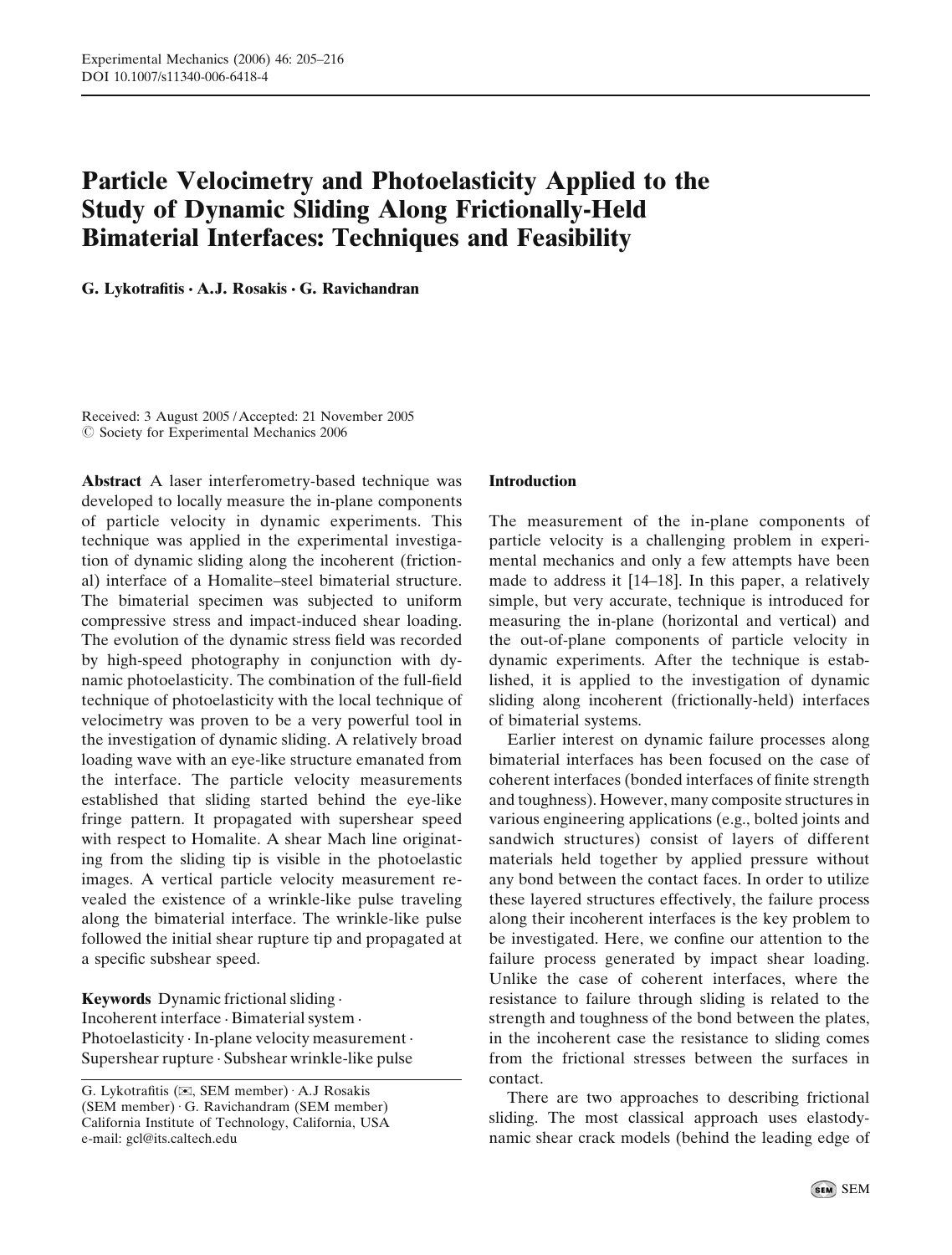# Particle Velocimetry and Photoelasticity Applied to the Study of Dynamic Sliding Along Frictionally-Held Bimaterial Interfaces: Techniques and Feasibility

G. Lykotrafitis  $\cdot$  A.J. Rosakis  $\cdot$  G. Ravichandran

Received: 3 August 2005 /Accepted: 21 November 2005  $\oslash$  Society for Experimental Mechanics 2006

Abstract A laser interferometry-based technique was developed to locally measure the in-plane components of particle velocity in dynamic experiments. This technique was applied in the experimental investigation of dynamic sliding along the incoherent (frictional) interface of a Homalite–steel bimaterial structure. The bimaterial specimen was subjected to uniform compressive stress and impact-induced shear loading. The evolution of the dynamic stress field was recorded by high-speed photography in conjunction with dynamic photoelasticity. The combination of the full-field technique of photoelasticity with the local technique of velocimetry was proven to be a very powerful tool in the investigation of dynamic sliding. A relatively broad loading wave with an eye-like structure emanated from the interface. The particle velocity measurements established that sliding started behind the eye-like fringe pattern. It propagated with supershear speed with respect to Homalite. A shear Mach line originating from the sliding tip is visible in the photoelastic images. A vertical particle velocity measurement revealed the existence of a wrinkle-like pulse traveling along the bimaterial interface. The wrinkle-like pulse followed the initial shear rupture tip and propagated at a specific subshear speed.

Keywords Dynamic frictional sliding . Incoherent interface . Bimaterial system . Photoelasticity  $\cdot$  In-plane velocity measurement  $\cdot$ Supershear rupture . Subshear wrinkle-like pulse

G. Lykotrafitis ( $\Xi$ , SEM member) · A.J Rosakis (SEM member) G. Ravichandram (SEM member) California Institute of Technology, California, USA e-mail: gcl@its.caltech.edu

# Introduction

The measurement of the in-plane components of particle velocity is a challenging problem in experimental mechanics and only a few attempts have been made to address it [14–18]. In this paper, a relatively simple, but very accurate, technique is introduced for measuring the in-plane (horizontal and vertical) and the out-of-plane components of particle velocity in dynamic experiments. After the technique is established, it is applied to the investigation of dynamic sliding along incoherent (frictionally-held) interfaces of bimaterial systems.

Earlier interest on dynamic failure processes along bimaterial interfaces has been focused on the case of coherent interfaces (bonded interfaces of finite strength and toughness). However, many composite structures in various engineering applications (e.g., bolted joints and sandwich structures) consist of layers of different materials held together by applied pressure without any bond between the contact faces. In order to utilize these layered structures effectively, the failure process along their incoherent interfaces is the key problem to be investigated. Here, we confine our attention to the failure process generated by impact shear loading. Unlike the case of coherent interfaces, where the resistance to failure through sliding is related to the strength and toughness of the bond between the plates, in the incoherent case the resistance to sliding comes from the frictional stresses between the surfaces in contact.

There are two approaches to describing frictional sliding. The most classical approach uses elastodynamic shear crack models (behind the leading edge of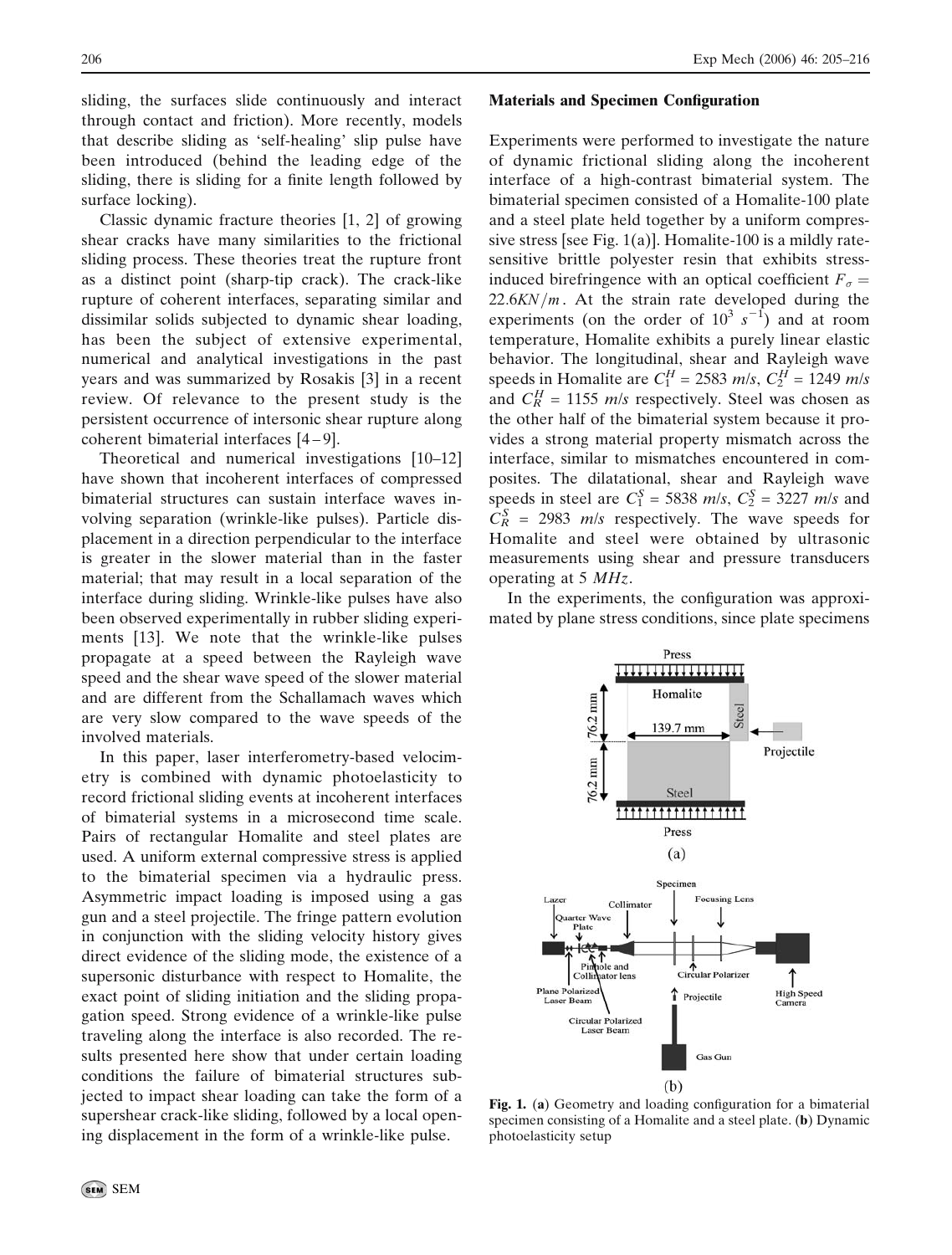sliding, the surfaces slide continuously and interact through contact and friction). More recently, models that describe sliding as 'self-healing' slip pulse have been introduced (behind the leading edge of the sliding, there is sliding for a finite length followed by surface locking).

Classic dynamic fracture theories [1, 2] of growing shear cracks have many similarities to the frictional sliding process. These theories treat the rupture front as a distinct point (sharp-tip crack). The crack-like rupture of coherent interfaces, separating similar and dissimilar solids subjected to dynamic shear loading, has been the subject of extensive experimental, numerical and analytical investigations in the past years and was summarized by Rosakis [3] in a recent review. Of relevance to the present study is the persistent occurrence of intersonic shear rupture along coherent bimaterial interfaces [4 – 9].

Theoretical and numerical investigations [10–12] have shown that incoherent interfaces of compressed bimaterial structures can sustain interface waves involving separation (wrinkle-like pulses). Particle displacement in a direction perpendicular to the interface is greater in the slower material than in the faster material; that may result in a local separation of the interface during sliding. Wrinkle-like pulses have also been observed experimentally in rubber sliding experiments [13]. We note that the wrinkle-like pulses propagate at a speed between the Rayleigh wave speed and the shear wave speed of the slower material and are different from the Schallamach waves which are very slow compared to the wave speeds of the involved materials.

In this paper, laser interferometry-based velocimetry is combined with dynamic photoelasticity to record frictional sliding events at incoherent interfaces of bimaterial systems in a microsecond time scale. Pairs of rectangular Homalite and steel plates are used. A uniform external compressive stress is applied to the bimaterial specimen via a hydraulic press. Asymmetric impact loading is imposed using a gas gun and a steel projectile. The fringe pattern evolution in conjunction with the sliding velocity history gives direct evidence of the sliding mode, the existence of a supersonic disturbance with respect to Homalite, the exact point of sliding initiation and the sliding propagation speed. Strong evidence of a wrinkle-like pulse traveling along the interface is also recorded. The results presented here show that under certain loading conditions the failure of bimaterial structures subjected to impact shear loading can take the form of a supershear crack-like sliding, followed by a local opening displacement in the form of a wrinkle-like pulse.

## Materials and Specimen Configuration

Experiments were performed to investigate the nature of dynamic frictional sliding along the incoherent interface of a high-contrast bimaterial system. The bimaterial specimen consisted of a Homalite-100 plate and a steel plate held together by a uniform compressive stress [see Fig.  $1(a)$ ]. Homalite-100 is a mildly ratesensitive brittle polyester resin that exhibits stressinduced birefringence with an optical coefficient  $F_{\sigma} =$  $22.6KN/m$ . At the strain rate developed during the experiments (on the order of  $10^3$   $s^{-1}$ ) and at room temperature, Homalite exhibits a purely linear elastic behavior. The longitudinal, shear and Rayleigh wave speeds in Homalite are  $C_1^H = 2583$  m/s,  $C_2^H = 1249$  m/s and  $C_R^H = 1155$  m/s respectively. Steel was chosen as the other half of the bimaterial system because it provides a strong material property mismatch across the interface, similar to mismatches encountered in composites. The dilatational, shear and Rayleigh wave speeds in steel are  $C_1^S = 5838$  m/s,  $C_2^S = 3227$  m/s and  $C_R^S$  = 2983 *m/s* respectively. The wave speeds for Homalite and steel were obtained by ultrasonic measurements using shear and pressure transducers operating at 5 MHz.

In the experiments, the configuration was approximated by plane stress conditions, since plate specimens



Fig. 1. (a) Geometry and loading configuration for a bimaterial specimen consisting of a Homalite and a steel plate. (b) Dynamic photoelasticity setup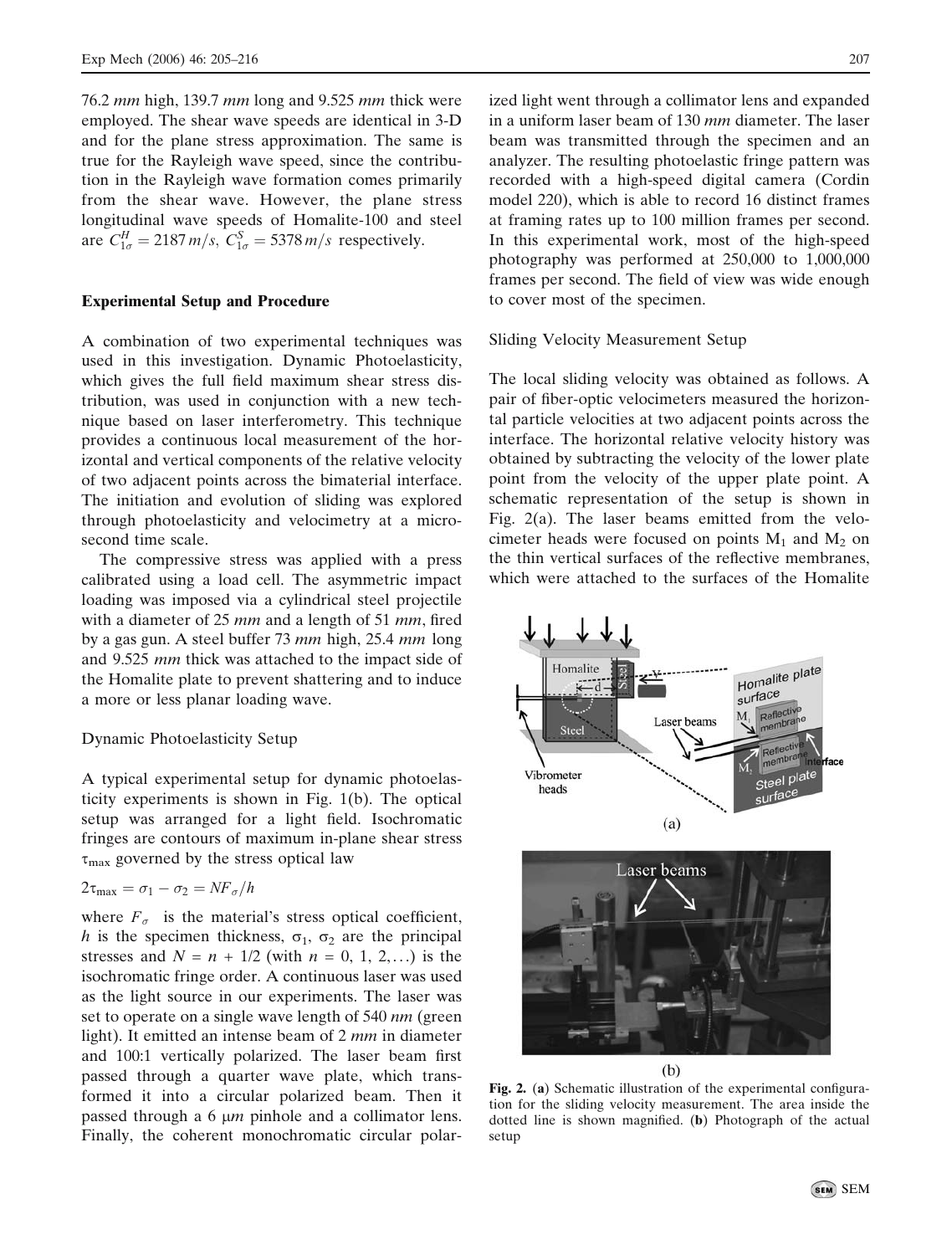76.2 mm high, 139.7 mm long and 9.525 mm thick were employed. The shear wave speeds are identical in 3-D and for the plane stress approximation. The same is true for the Rayleigh wave speed, since the contribution in the Rayleigh wave formation comes primarily from the shear wave. However, the plane stress longitudinal wave speeds of Homalite-100 and steel are  $C_{1\sigma}^H = 2187 \, m/s$ ,  $C_{1\sigma}^S = 5378 \, m/s$  respectively.

# Experimental Setup and Procedure

A combination of two experimental techniques was used in this investigation. Dynamic Photoelasticity, which gives the full field maximum shear stress distribution, was used in conjunction with a new technique based on laser interferometry. This technique provides a continuous local measurement of the horizontal and vertical components of the relative velocity of two adjacent points across the bimaterial interface. The initiation and evolution of sliding was explored through photoelasticity and velocimetry at a microsecond time scale.

The compressive stress was applied with a press calibrated using a load cell. The asymmetric impact loading was imposed via a cylindrical steel projectile with a diameter of 25 mm and a length of 51 mm, fired by a gas gun. A steel buffer 73 mm high, 25.4 mm long and 9.525 mm thick was attached to the impact side of the Homalite plate to prevent shattering and to induce a more or less planar loading wave.

# Dynamic Photoelasticity Setup

A typical experimental setup for dynamic photoelasticity experiments is shown in Fig. 1(b). The optical setup was arranged for a light field. Isochromatic fringes are contours of maximum in-plane shear stress  $\tau_{\text{max}}$  governed by the stress optical law

$$
2\tau_{\text{max}} = \sigma_1 - \sigma_2 = N F_{\sigma}/h
$$

where  $F_{\sigma}$  is the material's stress optical coefficient, h is the specimen thickness,  $\sigma_1$ ,  $\sigma_2$  are the principal stresses and  $N = n + 1/2$  (with  $n = 0, 1, 2,...$ ) is the isochromatic fringe order. A continuous laser was used as the light source in our experiments. The laser was set to operate on a single wave length of 540 nm (green light). It emitted an intense beam of 2 mm in diameter and 100:1 vertically polarized. The laser beam first passed through a quarter wave plate, which transformed it into a circular polarized beam. Then it passed through a 6  $\mu$ m pinhole and a collimator lens. Finally, the coherent monochromatic circular polarized light went through a collimator lens and expanded in a uniform laser beam of 130 mm diameter. The laser beam was transmitted through the specimen and an analyzer. The resulting photoelastic fringe pattern was recorded with a high-speed digital camera (Cordin model 220), which is able to record 16 distinct frames at framing rates up to 100 million frames per second. In this experimental work, most of the high-speed photography was performed at 250,000 to 1,000,000 frames per second. The field of view was wide enough to cover most of the specimen.

# Sliding Velocity Measurement Setup

The local sliding velocity was obtained as follows. A pair of fiber-optic velocimeters measured the horizontal particle velocities at two adjacent points across the interface. The horizontal relative velocity history was obtained by subtracting the velocity of the lower plate point from the velocity of the upper plate point. A schematic representation of the setup is shown in Fig.  $2(a)$ . The laser beams emitted from the velocimeter heads were focused on points  $M_1$  and  $M_2$  on the thin vertical surfaces of the reflective membranes, which were attached to the surfaces of the Homalite





Fig. 2. (a) Schematic illustration of the experimental configuration for the sliding velocity measurement. The area inside the dotted line is shown magnified. (b) Photograph of the actual setup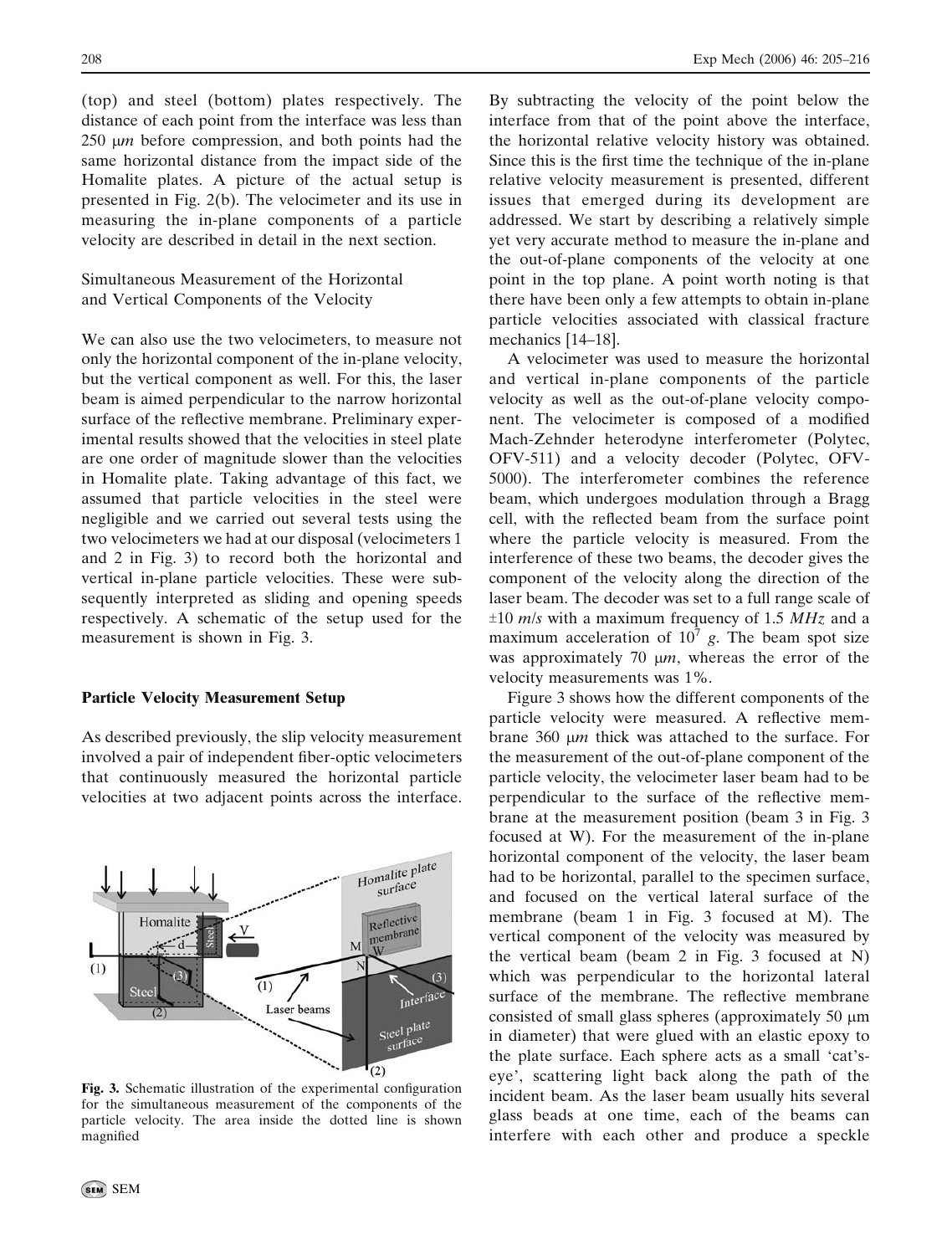(top) and steel (bottom) plates respectively. The distance of each point from the interface was less than  $250 \mu m$  before compression, and both points had the same horizontal distance from the impact side of the Homalite plates. A picture of the actual setup is presented in Fig. 2(b). The velocimeter and its use in measuring the in-plane components of a particle velocity are described in detail in the next section.

Simultaneous Measurement of the Horizontal and Vertical Components of the Velocity

We can also use the two velocimeters, to measure not only the horizontal component of the in-plane velocity, but the vertical component as well. For this, the laser beam is aimed perpendicular to the narrow horizontal surface of the reflective membrane. Preliminary experimental results showed that the velocities in steel plate are one order of magnitude slower than the velocities in Homalite plate. Taking advantage of this fact, we assumed that particle velocities in the steel were negligible and we carried out several tests using the two velocimeters we had at our disposal (velocimeters 1 and 2 in Fig. 3) to record both the horizontal and vertical in-plane particle velocities. These were subsequently interpreted as sliding and opening speeds respectively. A schematic of the setup used for the measurement is shown in Fig. 3.

# Particle Velocity Measurement Setup

As described previously, the slip velocity measurement involved a pair of independent fiber-optic velocimeters that continuously measured the horizontal particle velocities at two adjacent points across the interface.



Fig. 3. Schematic illustration of the experimental configuration for the simultaneous measurement of the components of the particle velocity. The area inside the dotted line is shown magnified

By subtracting the velocity of the point below the interface from that of the point above the interface, the horizontal relative velocity history was obtained. Since this is the first time the technique of the in-plane relative velocity measurement is presented, different issues that emerged during its development are addressed. We start by describing a relatively simple yet very accurate method to measure the in-plane and the out-of-plane components of the velocity at one point in the top plane. A point worth noting is that there have been only a few attempts to obtain in-plane particle velocities associated with classical fracture mechanics [14–18].

A velocimeter was used to measure the horizontal and vertical in-plane components of the particle velocity as well as the out-of-plane velocity component. The velocimeter is composed of a modified Mach-Zehnder heterodyne interferometer (Polytec, OFV-511) and a velocity decoder (Polytec, OFV-5000). The interferometer combines the reference beam, which undergoes modulation through a Bragg cell, with the reflected beam from the surface point where the particle velocity is measured. From the interference of these two beams, the decoder gives the component of the velocity along the direction of the laser beam. The decoder was set to a full range scale of  $\pm 10$  m/s with a maximum frequency of 1.5 MHz and a maximum acceleration of  $10<sup>7</sup>$  g. The beam spot size was approximately 70  $\mu$ m, whereas the error of the velocity measurements was 1%.

Figure 3 shows how the different components of the particle velocity were measured. A reflective membrane 360  $\mu$ m thick was attached to the surface. For the measurement of the out-of-plane component of the particle velocity, the velocimeter laser beam had to be perpendicular to the surface of the reflective membrane at the measurement position (beam 3 in Fig. 3 focused at W). For the measurement of the in-plane horizontal component of the velocity, the laser beam had to be horizontal, parallel to the specimen surface, and focused on the vertical lateral surface of the membrane (beam 1 in Fig. 3 focused at M). The vertical component of the velocity was measured by the vertical beam (beam 2 in Fig. 3 focused at N) which was perpendicular to the horizontal lateral surface of the membrane. The reflective membrane consisted of small glass spheres (approximately 50  $\mu$ m in diameter) that were glued with an elastic epoxy to the plate surface. Each sphere acts as a small 'cat'seye', scattering light back along the path of the incident beam. As the laser beam usually hits several glass beads at one time, each of the beams can interfere with each other and produce a speckle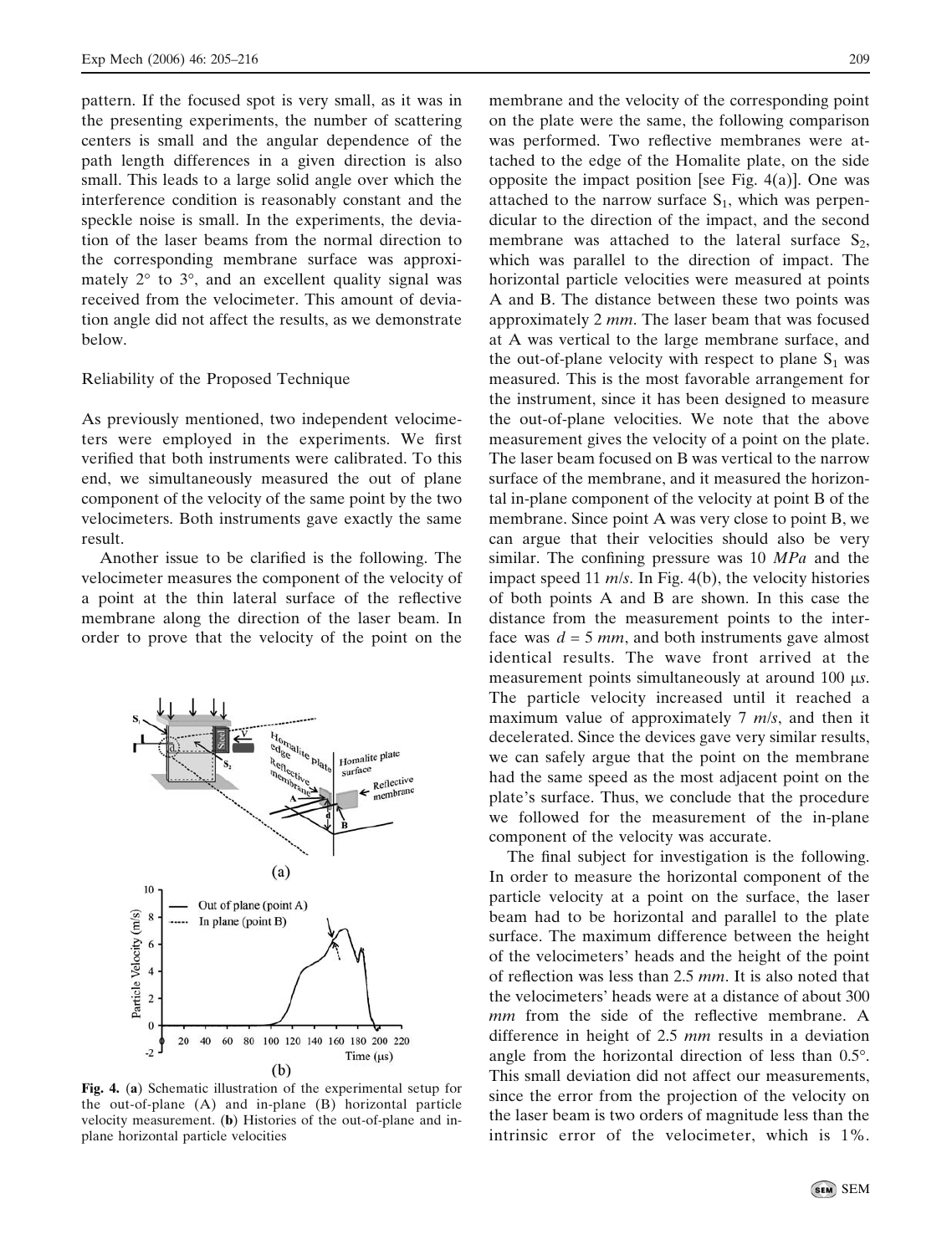pattern. If the focused spot is very small, as it was in the presenting experiments, the number of scattering centers is small and the angular dependence of the path length differences in a given direction is also small. This leads to a large solid angle over which the interference condition is reasonably constant and the speckle noise is small. In the experiments, the deviation of the laser beams from the normal direction to the corresponding membrane surface was approximately  $2^{\circ}$  to  $3^{\circ}$ , and an excellent quality signal was received from the velocimeter. This amount of deviation angle did not affect the results, as we demonstrate below.

#### Reliability of the Proposed Technique

As previously mentioned, two independent velocimeters were employed in the experiments. We first verified that both instruments were calibrated. To this end, we simultaneously measured the out of plane component of the velocity of the same point by the two velocimeters. Both instruments gave exactly the same result.

Another issue to be clarified is the following. The velocimeter measures the component of the velocity of a point at the thin lateral surface of the reflective membrane along the direction of the laser beam. In order to prove that the velocity of the point on the



Fig. 4. (a) Schematic illustration of the experimental setup for the out-of-plane (A) and in-plane (B) horizontal particle velocity measurement. (b) Histories of the out-of-plane and inplane horizontal particle velocities

membrane and the velocity of the corresponding point on the plate were the same, the following comparison was performed. Two reflective membranes were attached to the edge of the Homalite plate, on the side opposite the impact position [see Fig.  $4(a)$ ]. One was attached to the narrow surface  $S_1$ , which was perpendicular to the direction of the impact, and the second membrane was attached to the lateral surface  $S_2$ , which was parallel to the direction of impact. The horizontal particle velocities were measured at points A and B. The distance between these two points was approximately 2 mm. The laser beam that was focused at A was vertical to the large membrane surface, and the out-of-plane velocity with respect to plane  $S_1$  was measured. This is the most favorable arrangement for the instrument, since it has been designed to measure the out-of-plane velocities. We note that the above measurement gives the velocity of a point on the plate. The laser beam focused on B was vertical to the narrow surface of the membrane, and it measured the horizontal in-plane component of the velocity at point B of the membrane. Since point A was very close to point B, we can argue that their velocities should also be very similar. The confining pressure was 10 MPa and the impact speed 11 m/s. In Fig. 4(b), the velocity histories of both points A and B are shown. In this case the distance from the measurement points to the interface was  $d = 5$  mm, and both instruments gave almost identical results. The wave front arrived at the measurement points simultaneously at around  $100 \mu s$ . The particle velocity increased until it reached a maximum value of approximately 7 *m/s*, and then it decelerated. Since the devices gave very similar results, we can safely argue that the point on the membrane had the same speed as the most adjacent point on the plate's surface. Thus, we conclude that the procedure we followed for the measurement of the in-plane component of the velocity was accurate.

The final subject for investigation is the following. In order to measure the horizontal component of the particle velocity at a point on the surface, the laser beam had to be horizontal and parallel to the plate surface. The maximum difference between the height of the velocimeters' heads and the height of the point of reflection was less than 2.5 mm. It is also noted that the velocimeters' heads were at a distance of about 300 mm from the side of the reflective membrane. A difference in height of 2.5 mm results in a deviation angle from the horizontal direction of less than  $0.5^{\circ}$ . This small deviation did not affect our measurements, since the error from the projection of the velocity on the laser beam is two orders of magnitude less than the intrinsic error of the velocimeter, which is 1%.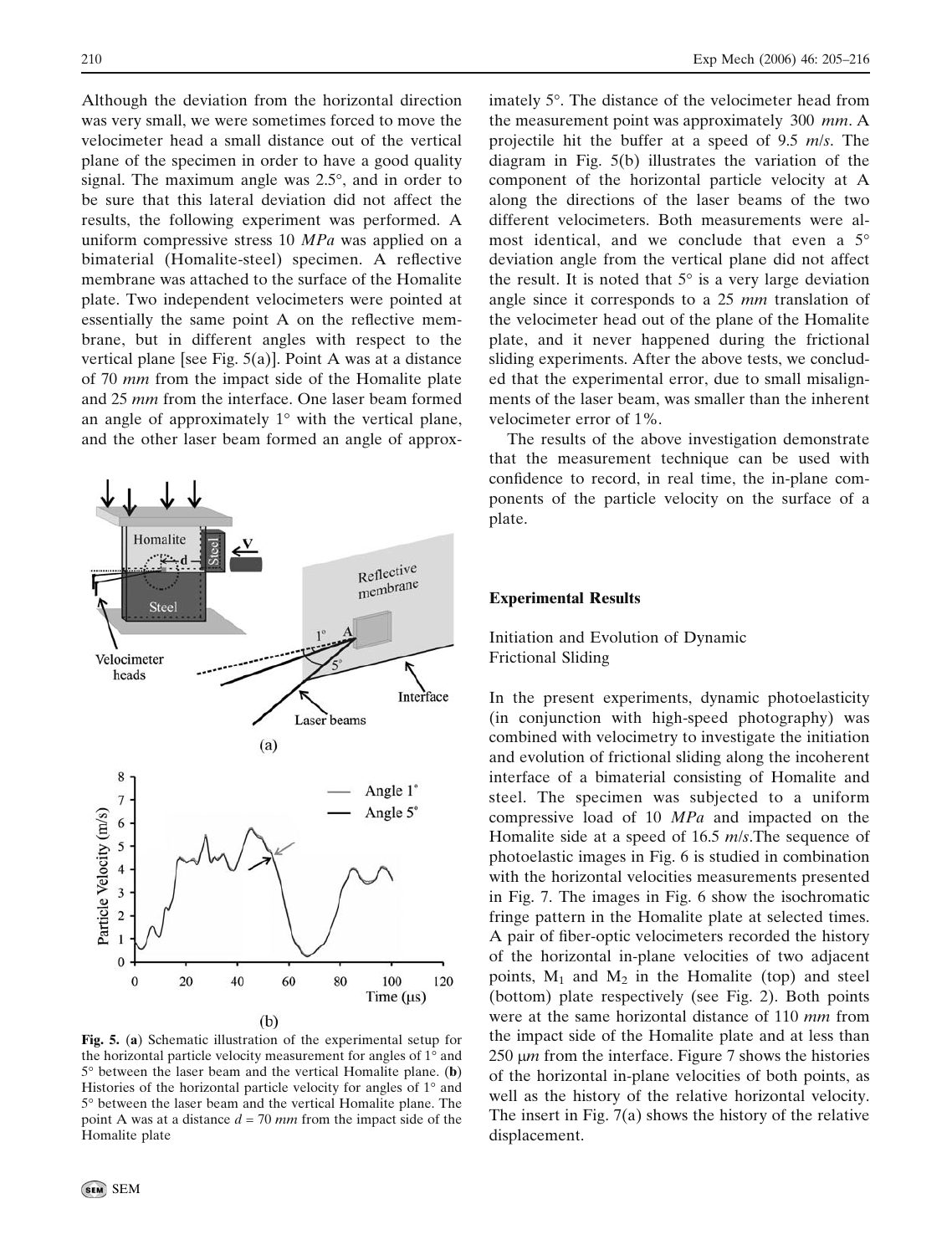Although the deviation from the horizontal direction was very small, we were sometimes forced to move the velocimeter head a small distance out of the vertical plane of the specimen in order to have a good quality signal. The maximum angle was  $2.5^{\circ}$ , and in order to be sure that this lateral deviation did not affect the results, the following experiment was performed. A uniform compressive stress 10  $MPa$  was applied on a bimaterial (Homalite-steel) specimen. A reflective membrane was attached to the surface of the Homalite plate. Two independent velocimeters were pointed at essentially the same point A on the reflective membrane, but in different angles with respect to the vertical plane [see Fig. 5(a)]. Point A was at a distance of 70 mm from the impact side of the Homalite plate and 25 mm from the interface. One laser beam formed an angle of approximately  $1^{\circ}$  with the vertical plane, and the other laser beam formed an angle of approx-



Fig. 5. (a) Schematic illustration of the experimental setup for the horizontal particle velocity measurement for angles of  $1^{\circ}$  and  $5^{\circ}$  between the laser beam and the vertical Homalite plane. (b) Histories of the horizontal particle velocity for angles of  $1^{\circ}$  and 5° between the laser beam and the vertical Homalite plane. The point A was at a distance  $d = 70$  mm from the impact side of the Homalite plate

imately 5°. The distance of the velocimeter head from the measurement point was approximately 300 mm. A projectile hit the buffer at a speed of 9.5 m/s. The diagram in Fig. 5(b) illustrates the variation of the component of the horizontal particle velocity at A along the directions of the laser beams of the two different velocimeters. Both measurements were almost identical, and we conclude that even a  $5^{\circ}$ deviation angle from the vertical plane did not affect the result. It is noted that  $5^\circ$  is a very large deviation angle since it corresponds to a 25 mm translation of the velocimeter head out of the plane of the Homalite plate, and it never happened during the frictional sliding experiments. After the above tests, we concluded that the experimental error, due to small misalignments of the laser beam, was smaller than the inherent velocimeter error of 1%.

The results of the above investigation demonstrate that the measurement technique can be used with confidence to record, in real time, the in-plane components of the particle velocity on the surface of a plate.

## Experimental Results

Initiation and Evolution of Dynamic Frictional Sliding

In the present experiments, dynamic photoelasticity (in conjunction with high-speed photography) was combined with velocimetry to investigate the initiation and evolution of frictional sliding along the incoherent interface of a bimaterial consisting of Homalite and steel. The specimen was subjected to a uniform compressive load of 10 MPa and impacted on the Homalite side at a speed of 16.5 m/s.The sequence of photoelastic images in Fig. 6 is studied in combination with the horizontal velocities measurements presented in Fig. 7. The images in Fig. 6 show the isochromatic fringe pattern in the Homalite plate at selected times. A pair of fiber-optic velocimeters recorded the history of the horizontal in-plane velocities of two adjacent points,  $M_1$  and  $M_2$  in the Homalite (top) and steel (bottom) plate respectively (see Fig. 2). Both points were at the same horizontal distance of 110 mm from the impact side of the Homalite plate and at less than 250  $\mu$ m from the interface. Figure 7 shows the histories of the horizontal in-plane velocities of both points, as well as the history of the relative horizontal velocity. The insert in Fig. 7(a) shows the history of the relative displacement.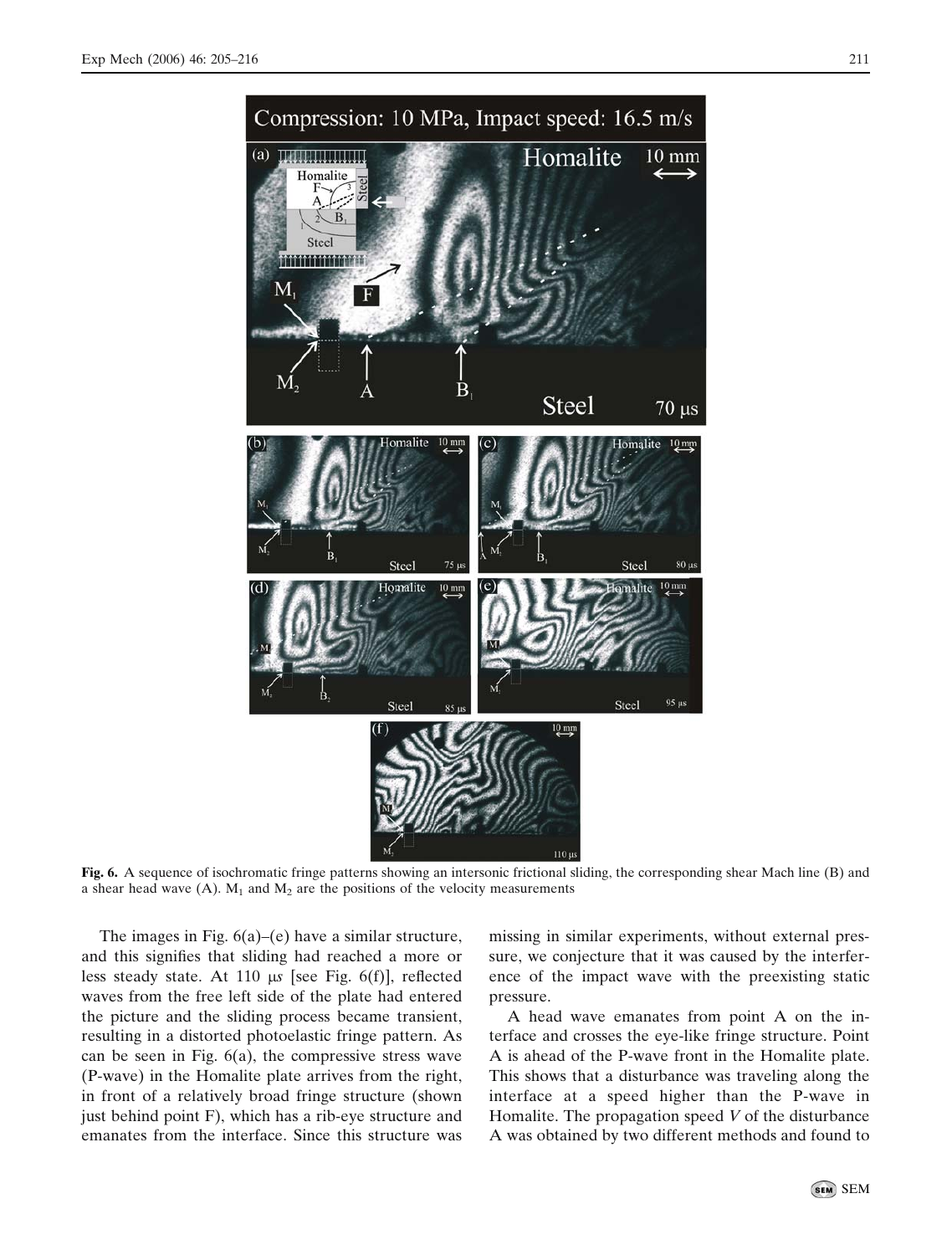

Fig. 6. A sequence of isochromatic fringe patterns showing an intersonic frictional sliding, the corresponding shear Mach line (B) and a shear head wave (A).  $M_1$  and  $M_2$  are the positions of the velocity measurements

The images in Fig.  $6(a)$ – $(e)$  have a similar structure, and this signifies that sliding had reached a more or less steady state. At 110  $\mu s$  [see Fig. 6(f)], reflected waves from the free left side of the plate had entered the picture and the sliding process became transient, resulting in a distorted photoelastic fringe pattern. As can be seen in Fig. 6(a), the compressive stress wave (P-wave) in the Homalite plate arrives from the right, in front of a relatively broad fringe structure (shown just behind point F), which has a rib-eye structure and emanates from the interface. Since this structure was missing in similar experiments, without external pressure, we conjecture that it was caused by the interference of the impact wave with the preexisting static pressure.

A head wave emanates from point A on the interface and crosses the eye-like fringe structure. Point A is ahead of the P-wave front in the Homalite plate. This shows that a disturbance was traveling along the interface at a speed higher than the P-wave in Homalite. The propagation speed  $V$  of the disturbance A was obtained by two different methods and found to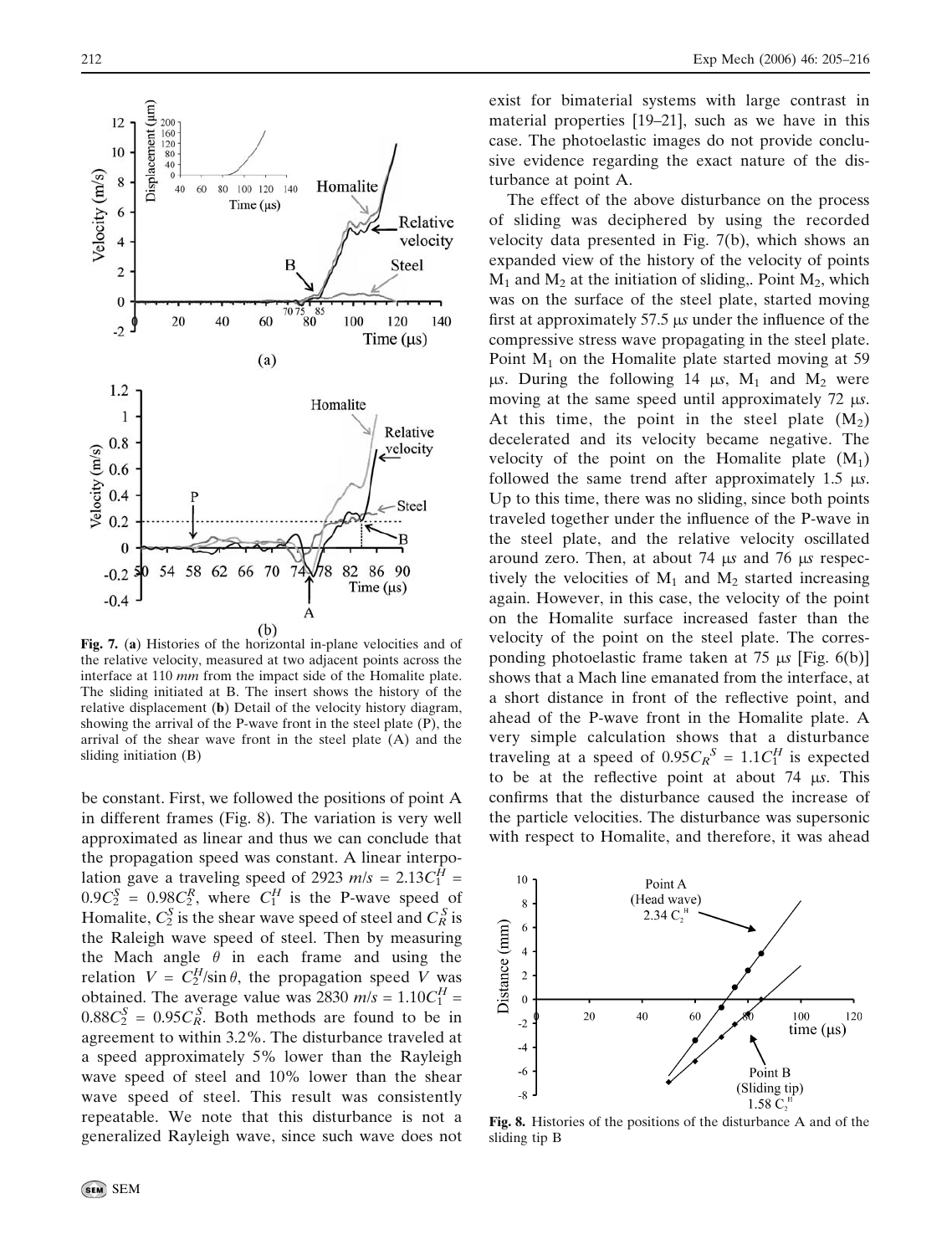

Fig. 7. (a) Histories of the horizontal in-plane velocities and of the relative velocity, measured at two adjacent points across the interface at 110 mm from the impact side of the Homalite plate. The sliding initiated at B. The insert shows the history of the relative displacement (b) Detail of the velocity history diagram, showing the arrival of the P-wave front in the steel plate (P), the arrival of the shear wave front in the steel plate (A) and the sliding initiation (B)

be constant. First, we followed the positions of point A in different frames (Fig. 8). The variation is very well approximated as linear and thus we can conclude that the propagation speed was constant. A linear interpolation gave a traveling speed of 2923  $m/s = 2.13C_1^H$  =  $0.9C_2^S = 0.98C_2^R$ , where  $C_1^H$  is the P-wave speed of Homalite,  $C_2^S$  is the shear wave speed of steel and  $C_R^S$  is the Raleigh wave speed of steel. Then by measuring the Mach angle  $\theta$  in each frame and using the relation  $V = C_2^H / \sin \theta$ , the propagation speed V was obtained. The average value was 2830  $m/s = 1.10C_1^H$  =  $0.88C_2^S = 0.95C_R^S$ . Both methods are found to be in agreement to within 3.2%. The disturbance traveled at a speed approximately 5% lower than the Rayleigh wave speed of steel and 10% lower than the shear wave speed of steel. This result was consistently repeatable. We note that this disturbance is not a generalized Rayleigh wave, since such wave does not exist for bimaterial systems with large contrast in material properties [19–21], such as we have in this case. The photoelastic images do not provide conclusive evidence regarding the exact nature of the disturbance at point A.

The effect of the above disturbance on the process of sliding was deciphered by using the recorded velocity data presented in Fig. 7(b), which shows an expanded view of the history of the velocity of points  $M_1$  and  $M_2$  at the initiation of sliding,. Point  $M_2$ , which was on the surface of the steel plate, started moving first at approximately  $57.5 \mu s$  under the influence of the compressive stress wave propagating in the steel plate. Point  $M_1$  on the Homalite plate started moving at 59  $\mu$ s. During the following 14  $\mu$ s, M<sub>1</sub> and M<sub>2</sub> were moving at the same speed until approximately  $72 \mu s$ . At this time, the point in the steel plate  $(M_2)$ decelerated and its velocity became negative. The velocity of the point on the Homalite plate  $(M_1)$ followed the same trend after approximately  $1.5 \mu s$ . Up to this time, there was no sliding, since both points traveled together under the influence of the P-wave in the steel plate, and the relative velocity oscillated around zero. Then, at about  $74 \mu s$  and  $76 \mu s$  respectively the velocities of  $M_1$  and  $M_2$  started increasing again. However, in this case, the velocity of the point on the Homalite surface increased faster than the velocity of the point on the steel plate. The corresponding photoelastic frame taken at 75  $\mu s$  [Fig. 6(b)] shows that a Mach line emanated from the interface, at a short distance in front of the reflective point, and ahead of the P-wave front in the Homalite plate. A very simple calculation shows that a disturbance traveling at a speed of  $0.95C_R^S = 1.1C_1^H$  is expected to be at the reflective point at about  $74 \mu s$ . This confirms that the disturbance caused the increase of the particle velocities. The disturbance was supersonic with respect to Homalite, and therefore, it was ahead



Fig. 8. Histories of the positions of the disturbance A and of the sliding tip B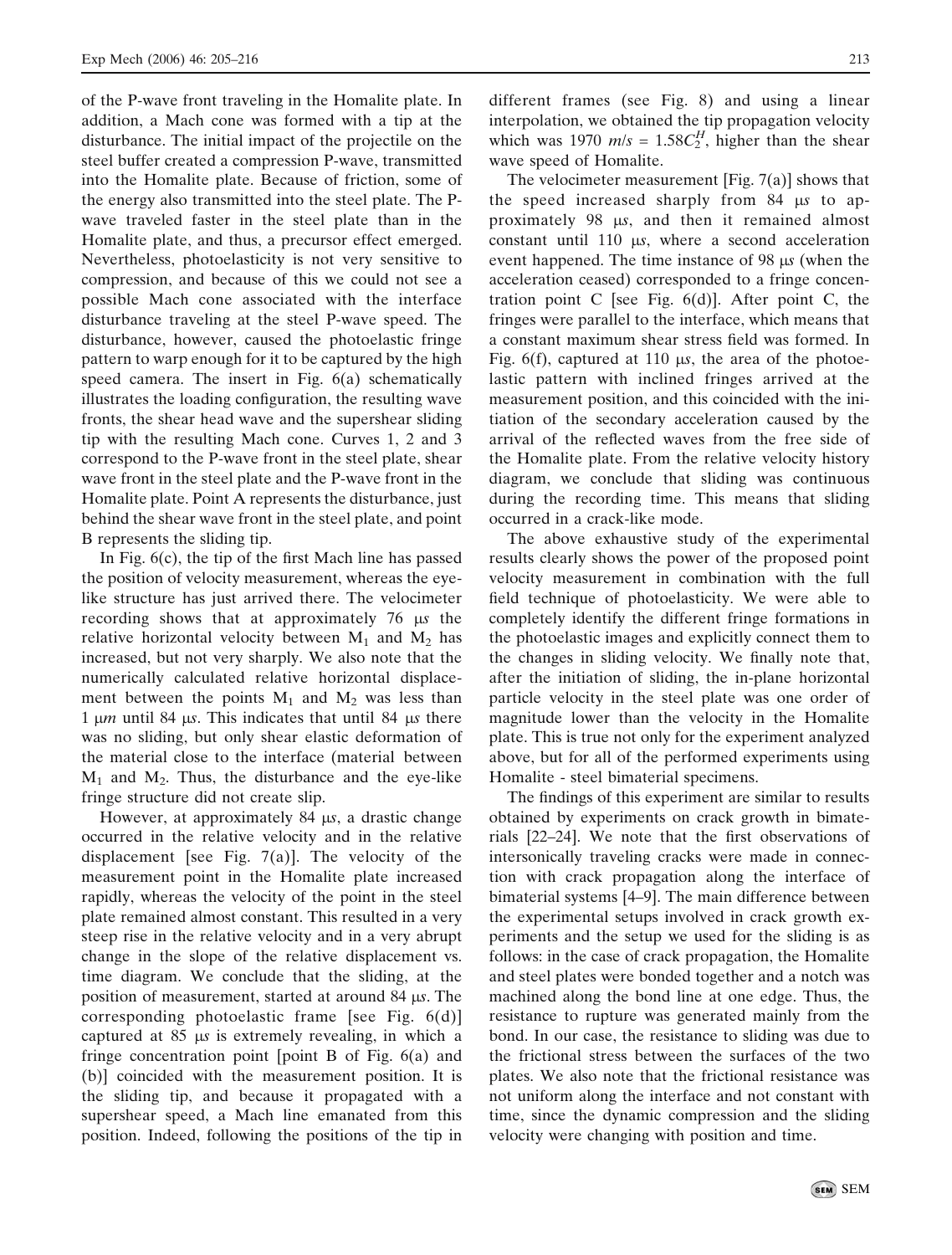of the P-wave front traveling in the Homalite plate. In addition, a Mach cone was formed with a tip at the disturbance. The initial impact of the projectile on the steel buffer created a compression P-wave, transmitted into the Homalite plate. Because of friction, some of the energy also transmitted into the steel plate. The Pwave traveled faster in the steel plate than in the Homalite plate, and thus, a precursor effect emerged. Nevertheless, photoelasticity is not very sensitive to compression, and because of this we could not see a possible Mach cone associated with the interface disturbance traveling at the steel P-wave speed. The disturbance, however, caused the photoelastic fringe pattern to warp enough for it to be captured by the high speed camera. The insert in Fig. 6(a) schematically illustrates the loading configuration, the resulting wave fronts, the shear head wave and the supershear sliding tip with the resulting Mach cone. Curves 1, 2 and 3 correspond to the P-wave front in the steel plate, shear wave front in the steel plate and the P-wave front in the Homalite plate. Point A represents the disturbance, just behind the shear wave front in the steel plate, and point B represents the sliding tip.

In Fig. 6(c), the tip of the first Mach line has passed the position of velocity measurement, whereas the eyelike structure has just arrived there. The velocimeter recording shows that at approximately  $76 \mu s$  the relative horizontal velocity between  $M_1$  and  $M_2$  has increased, but not very sharply. We also note that the numerically calculated relative horizontal displacement between the points  $M_1$  and  $M_2$  was less than 1  $\mu$ m until 84  $\mu$ s. This indicates that until 84  $\mu$ s there was no sliding, but only shear elastic deformation of the material close to the interface (material between  $M_1$  and  $M_2$ . Thus, the disturbance and the eye-like fringe structure did not create slip.

However, at approximately  $84 \mu s$ , a drastic change occurred in the relative velocity and in the relative displacement [see Fig.  $7(a)$ ]. The velocity of the measurement point in the Homalite plate increased rapidly, whereas the velocity of the point in the steel plate remained almost constant. This resulted in a very steep rise in the relative velocity and in a very abrupt change in the slope of the relative displacement vs. time diagram. We conclude that the sliding, at the position of measurement, started at around  $84 \mu s$ . The corresponding photoelastic frame [see Fig. 6(d)] captured at  $85 \mu s$  is extremely revealing, in which a fringe concentration point [point B of Fig. 6(a) and (b)] coincided with the measurement position. It is the sliding tip, and because it propagated with a supershear speed, a Mach line emanated from this position. Indeed, following the positions of the tip in different frames (see Fig. 8) and using a linear interpolation, we obtained the tip propagation velocity which was 1970  $m/s = 1.58C_2^H$ , higher than the shear wave speed of Homalite.

The velocimeter measurement [Fig.  $7(a)$ ] shows that the speed increased sharply from  $84 \mu s$  to approximately  $98 \mu s$ , and then it remained almost constant until 110  $\mu s$ , where a second acceleration event happened. The time instance of  $98 \mu s$  (when the acceleration ceased) corresponded to a fringe concentration point C [see Fig.  $6(d)$ ]. After point C, the fringes were parallel to the interface, which means that a constant maximum shear stress field was formed. In Fig.  $6(f)$ , captured at 110  $\mu s$ , the area of the photoelastic pattern with inclined fringes arrived at the measurement position, and this coincided with the initiation of the secondary acceleration caused by the arrival of the reflected waves from the free side of the Homalite plate. From the relative velocity history diagram, we conclude that sliding was continuous during the recording time. This means that sliding occurred in a crack-like mode.

The above exhaustive study of the experimental results clearly shows the power of the proposed point velocity measurement in combination with the full field technique of photoelasticity. We were able to completely identify the different fringe formations in the photoelastic images and explicitly connect them to the changes in sliding velocity. We finally note that, after the initiation of sliding, the in-plane horizontal particle velocity in the steel plate was one order of magnitude lower than the velocity in the Homalite plate. This is true not only for the experiment analyzed above, but for all of the performed experiments using Homalite - steel bimaterial specimens.

The findings of this experiment are similar to results obtained by experiments on crack growth in bimaterials [22–24]. We note that the first observations of intersonically traveling cracks were made in connection with crack propagation along the interface of bimaterial systems [4–9]. The main difference between the experimental setups involved in crack growth experiments and the setup we used for the sliding is as follows: in the case of crack propagation, the Homalite and steel plates were bonded together and a notch was machined along the bond line at one edge. Thus, the resistance to rupture was generated mainly from the bond. In our case, the resistance to sliding was due to the frictional stress between the surfaces of the two plates. We also note that the frictional resistance was not uniform along the interface and not constant with time, since the dynamic compression and the sliding velocity were changing with position and time.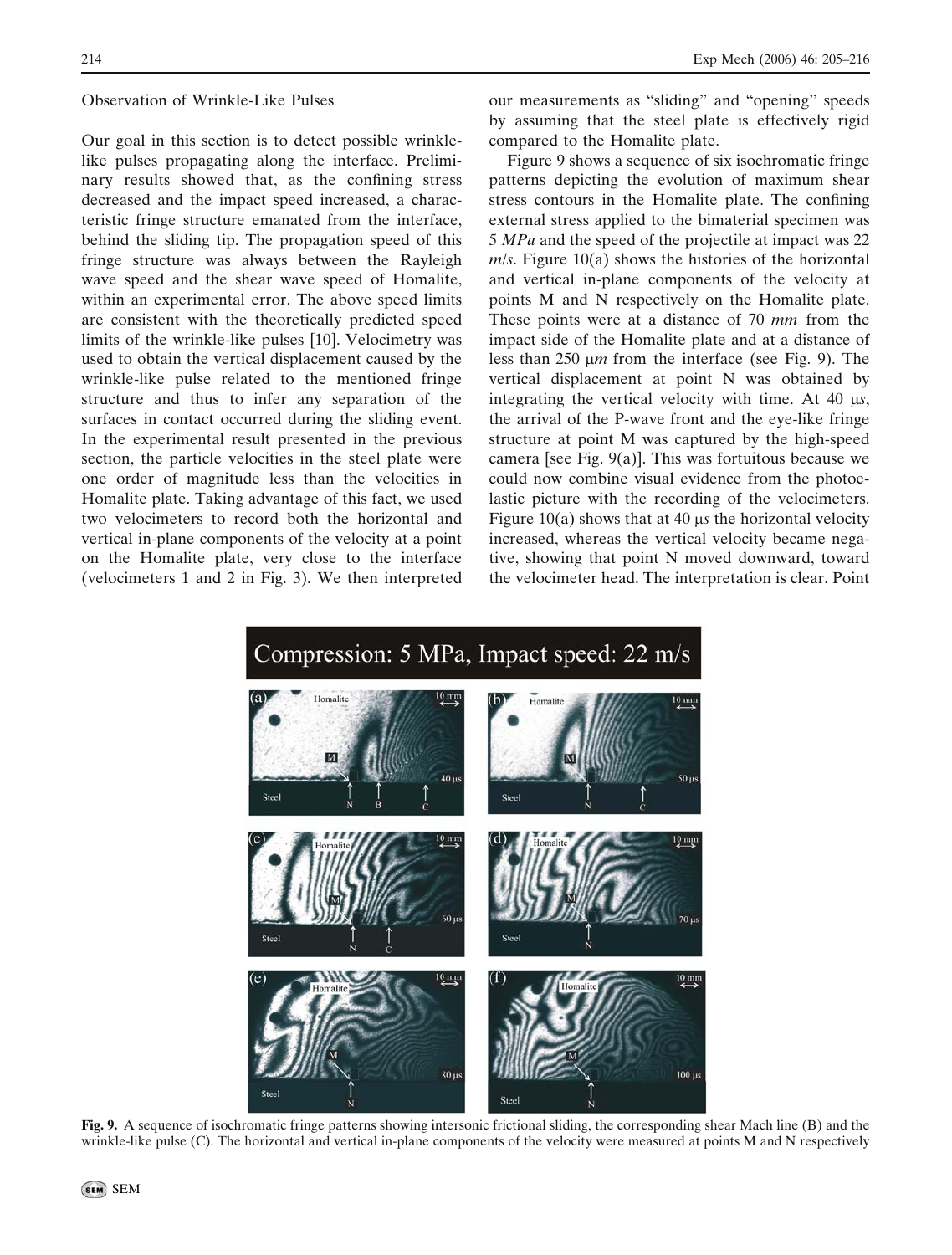# Observation of Wrinkle-Like Pulses

Our goal in this section is to detect possible wrinklelike pulses propagating along the interface. Preliminary results showed that, as the confining stress decreased and the impact speed increased, a characteristic fringe structure emanated from the interface, behind the sliding tip. The propagation speed of this fringe structure was always between the Rayleigh wave speed and the shear wave speed of Homalite, within an experimental error. The above speed limits are consistent with the theoretically predicted speed limits of the wrinkle-like pulses [10]. Velocimetry was used to obtain the vertical displacement caused by the wrinkle-like pulse related to the mentioned fringe structure and thus to infer any separation of the surfaces in contact occurred during the sliding event. In the experimental result presented in the previous section, the particle velocities in the steel plate were one order of magnitude less than the velocities in Homalite plate. Taking advantage of this fact, we used two velocimeters to record both the horizontal and vertical in-plane components of the velocity at a point on the Homalite plate, very close to the interface (velocimeters 1 and 2 in Fig. 3). We then interpreted our measurements as "sliding" and "opening" speeds by assuming that the steel plate is effectively rigid compared to the Homalite plate.

Figure 9 shows a sequence of six isochromatic fringe patterns depicting the evolution of maximum shear stress contours in the Homalite plate. The confining external stress applied to the bimaterial specimen was 5 MPa and the speed of the projectile at impact was 22  $m/s$ . Figure 10(a) shows the histories of the horizontal and vertical in-plane components of the velocity at points M and N respectively on the Homalite plate. These points were at a distance of 70 mm from the impact side of the Homalite plate and at a distance of less than  $250 \mu m$  from the interface (see Fig. 9). The vertical displacement at point N was obtained by integrating the vertical velocity with time. At 40  $\mu$ s, the arrival of the P-wave front and the eye-like fringe structure at point M was captured by the high-speed camera [see Fig. 9(a)]. This was fortuitous because we could now combine visual evidence from the photoelastic picture with the recording of the velocimeters. Figure 10(a) shows that at 40  $\mu$ s the horizontal velocity increased, whereas the vertical velocity became negative, showing that point N moved downward, toward the velocimeter head. The interpretation is clear. Point



Fig. 9. A sequence of isochromatic fringe patterns showing intersonic frictional sliding, the corresponding shear Mach line (B) and the wrinkle-like pulse (C). The horizontal and vertical in-plane components of the velocity were measured at points M and N respectively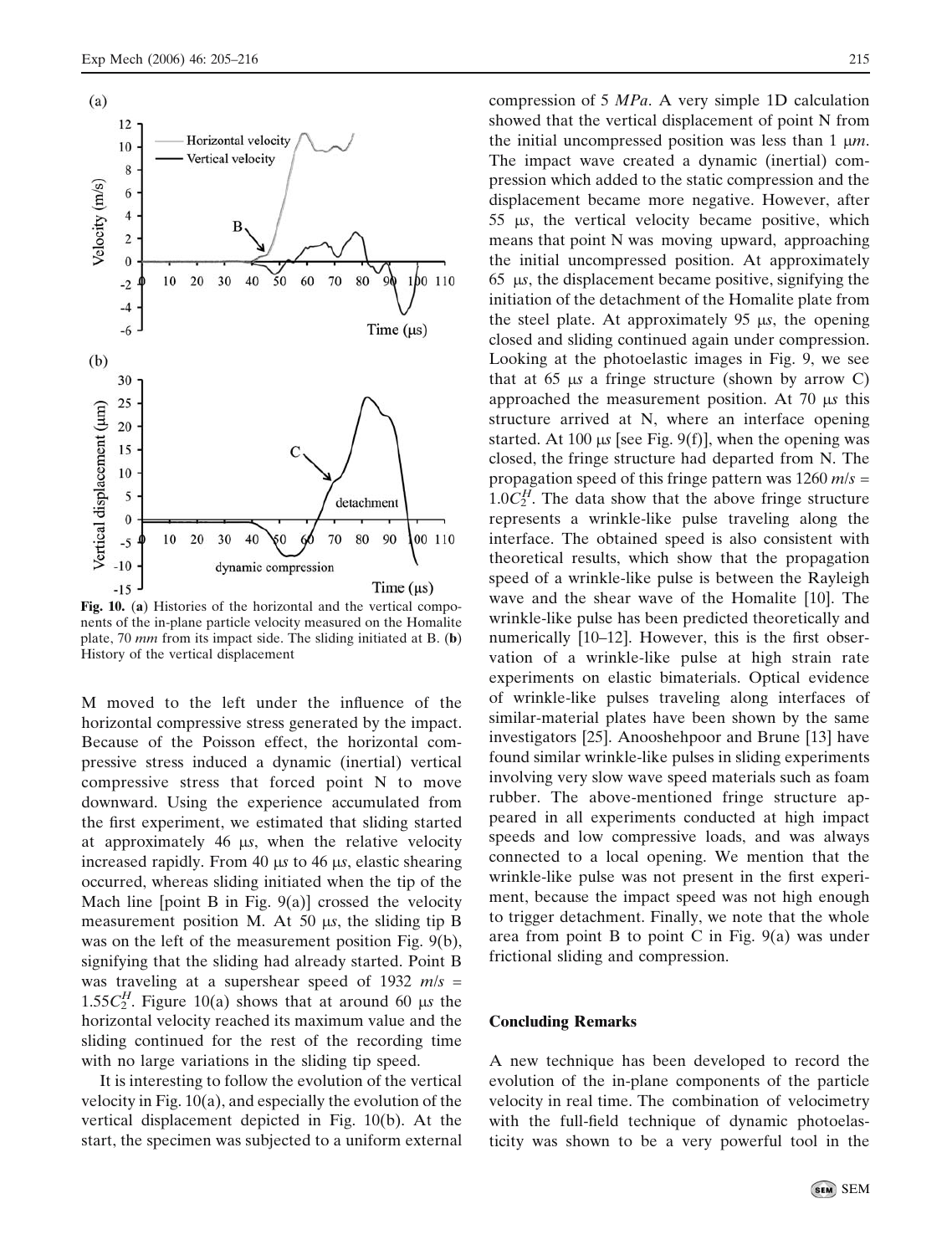

Fig. 10. (a) Histories of the horizontal and the vertical components of the in-plane particle velocity measured on the Homalite plate, 70 mm from its impact side. The sliding initiated at B. (b) History of the vertical displacement

M moved to the left under the influence of the horizontal compressive stress generated by the impact. Because of the Poisson effect, the horizontal compressive stress induced a dynamic (inertial) vertical compressive stress that forced point N to move downward. Using the experience accumulated from the first experiment, we estimated that sliding started at approximately 46  $\mu s$ , when the relative velocity increased rapidly. From 40  $\mu$ s to 46  $\mu$ s, elastic shearing occurred, whereas sliding initiated when the tip of the Mach line [point B in Fig. 9(a)] crossed the velocity measurement position M. At 50  $\mu$ s, the sliding tip B was on the left of the measurement position Fig. 9(b), signifying that the sliding had already started. Point B was traveling at a supershear speed of 1932  $m/s =$ 1.55 $C_2^H$ . Figure 10(a) shows that at around 60  $\mu$ s the horizontal velocity reached its maximum value and the sliding continued for the rest of the recording time with no large variations in the sliding tip speed.

It is interesting to follow the evolution of the vertical velocity in Fig. 10(a), and especially the evolution of the vertical displacement depicted in Fig. 10(b). At the start, the specimen was subjected to a uniform external

compression of 5 MPa. A very simple 1D calculation showed that the vertical displacement of point N from the initial uncompressed position was less than 1  $\mu$ m. The impact wave created a dynamic (inertial) compression which added to the static compression and the displacement became more negative. However, after  $55 \mu s$ , the vertical velocity became positive, which means that point N was moving upward, approaching the initial uncompressed position. At approximately  $65 \mu s$ , the displacement became positive, signifying the initiation of the detachment of the Homalite plate from the steel plate. At approximately  $95 \mu s$ , the opening closed and sliding continued again under compression. Looking at the photoelastic images in Fig. 9, we see that at  $65 \mu s$  a fringe structure (shown by arrow C) approached the measurement position. At  $70 \mu s$  this structure arrived at N, where an interface opening started. At 100  $\mu s$  [see Fig. 9(f)], when the opening was closed, the fringe structure had departed from N. The propagation speed of this fringe pattern was  $1260$  m/s =  $1.0C_2^H$ . The data show that the above fringe structure represents a wrinkle-like pulse traveling along the interface. The obtained speed is also consistent with theoretical results, which show that the propagation speed of a wrinkle-like pulse is between the Rayleigh wave and the shear wave of the Homalite [10]. The wrinkle-like pulse has been predicted theoretically and numerically [10–12]. However, this is the first observation of a wrinkle-like pulse at high strain rate experiments on elastic bimaterials. Optical evidence of wrinkle-like pulses traveling along interfaces of similar-material plates have been shown by the same investigators [25]. Anooshehpoor and Brune [13] have found similar wrinkle-like pulses in sliding experiments involving very slow wave speed materials such as foam rubber. The above-mentioned fringe structure appeared in all experiments conducted at high impact speeds and low compressive loads, and was always connected to a local opening. We mention that the wrinkle-like pulse was not present in the first experiment, because the impact speed was not high enough to trigger detachment. Finally, we note that the whole area from point B to point C in Fig. 9(a) was under frictional sliding and compression.

# Concluding Remarks

A new technique has been developed to record the evolution of the in-plane components of the particle velocity in real time. The combination of velocimetry with the full-field technique of dynamic photoelasticity was shown to be a very powerful tool in the